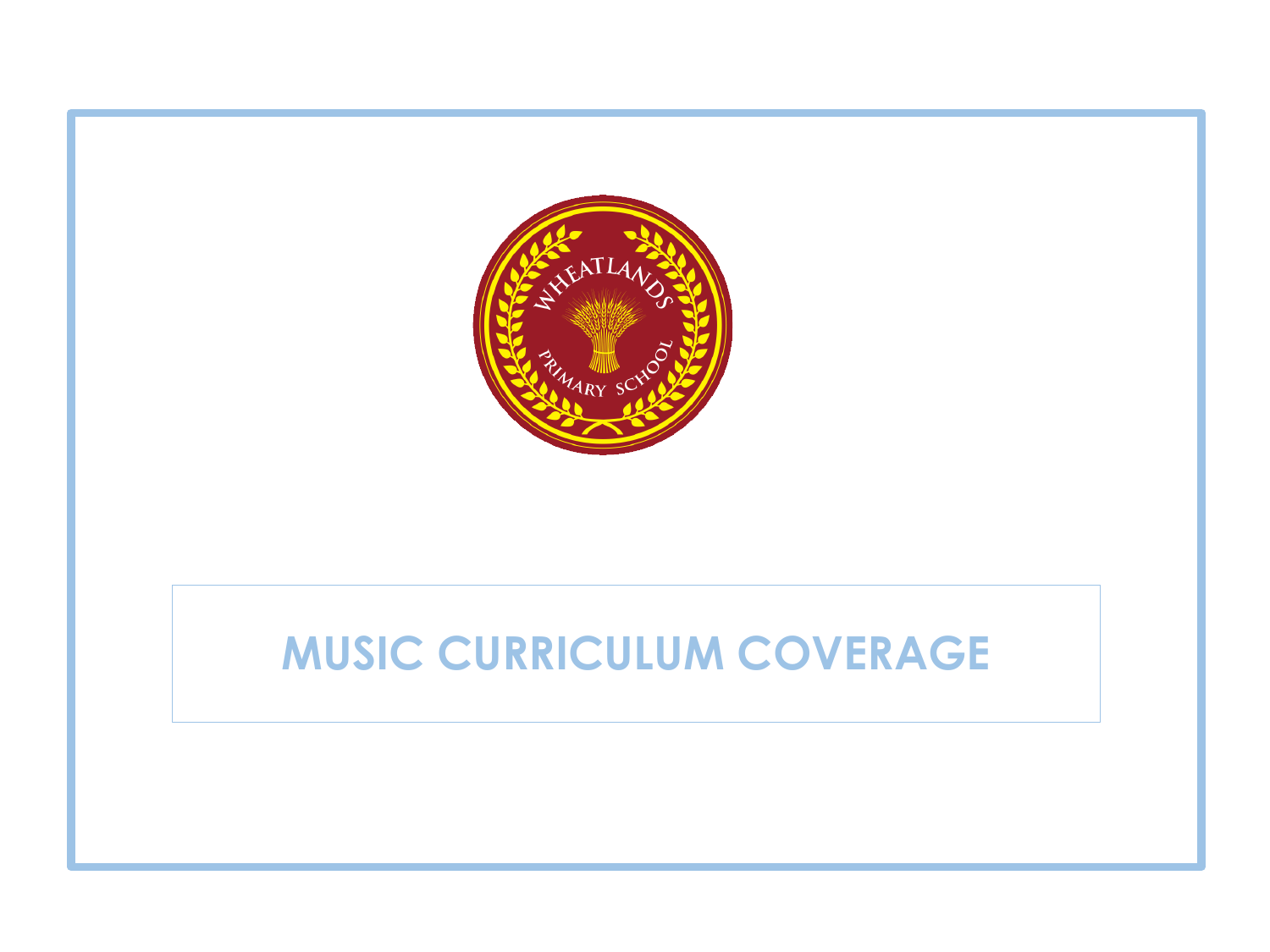

## **MUSIC CURRICULUM COVERAGE**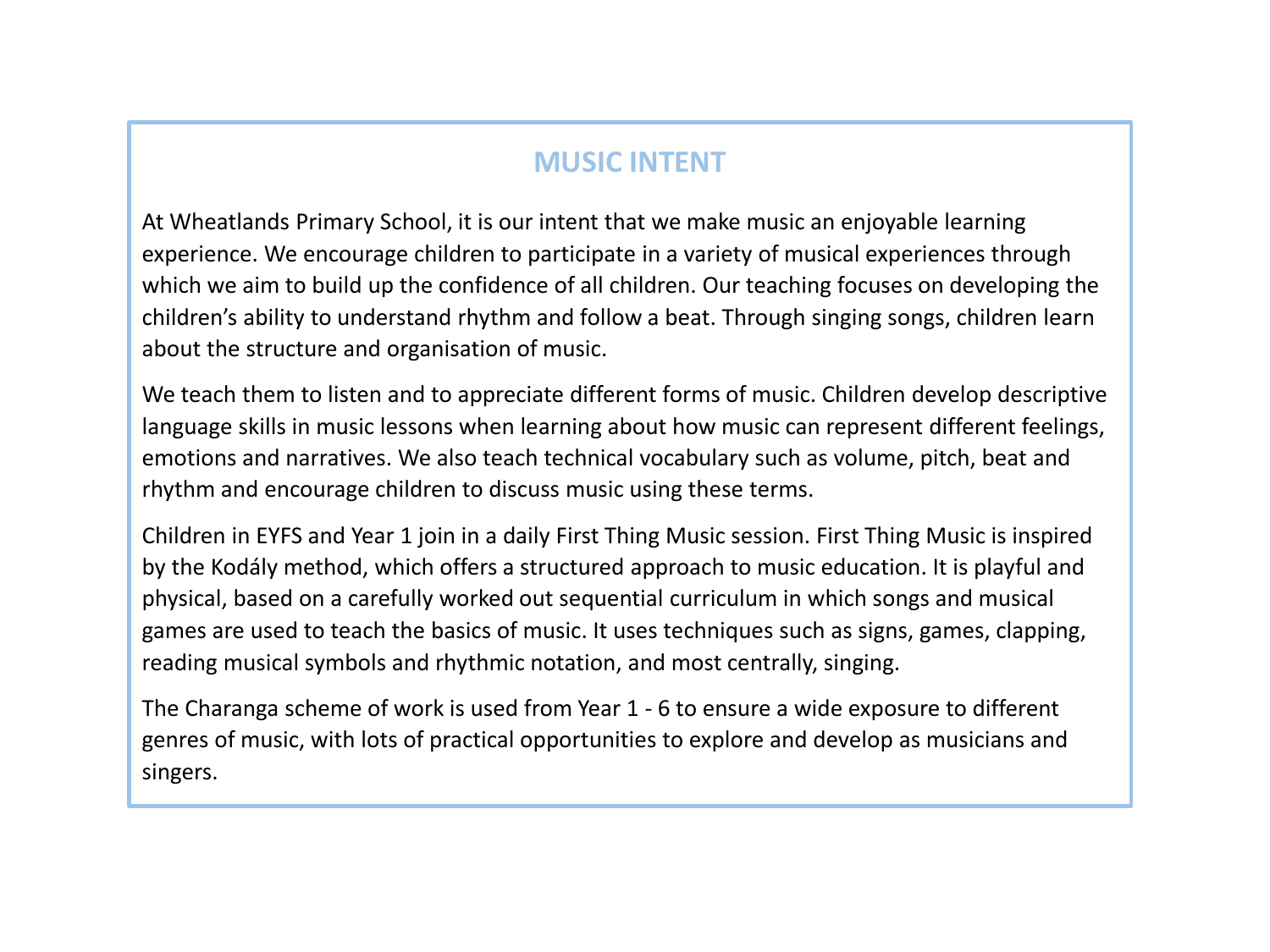## **MUSIC INTENT**

At Wheatlands Primary School, it is our intent that we make music an enjoyable learning experience. We encourage children to participate in a variety of musical experiences through which we aim to build up the confidence of all children. Our teaching focuses on developing the children's ability to understand rhythm and follow a beat. Through singing songs, children learn about the structure and organisation of music.

We teach them to listen and to appreciate different forms of music. Children develop descriptive language skills in music lessons when learning about how music can represent different feelings, emotions and narratives. We also teach technical vocabulary such as volume, pitch, beat and rhythm and encourage children to discuss music using these terms.

Children in EYFS and Year 1 join in a daily First Thing Music session. First Thing Music is inspired by the Kodály method, which offers a structured approach to music education. It is playful and physical, based on a carefully worked out sequential curriculum in which songs and musical games are used to teach the basics of music. It uses techniques such as signs, games, clapping, reading musical symbols and rhythmic notation, and most centrally, singing.

The Charanga scheme of work is used from Year 1 - 6 to ensure a wide exposure to different genres of music, with lots of practical opportunities to explore and develop as musicians and singers.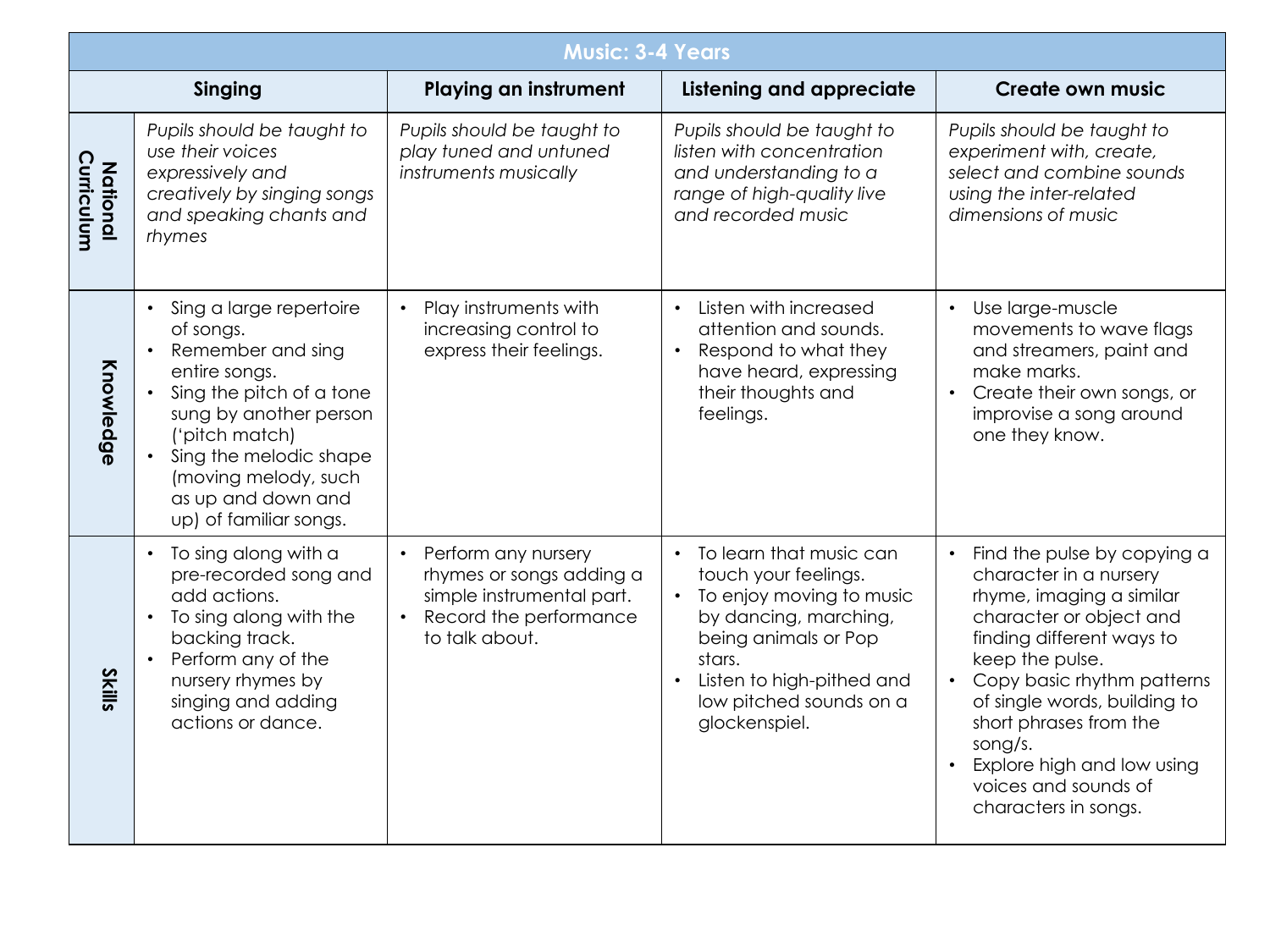|                                         | <b>Music: 3-4 Years</b>                                                                                                                                                                                                                                                                     |                                                                                                                                       |                                                                                                                                                                                                                 |                                                                                                                                                                                                                                                                                                                                               |  |
|-----------------------------------------|---------------------------------------------------------------------------------------------------------------------------------------------------------------------------------------------------------------------------------------------------------------------------------------------|---------------------------------------------------------------------------------------------------------------------------------------|-----------------------------------------------------------------------------------------------------------------------------------------------------------------------------------------------------------------|-----------------------------------------------------------------------------------------------------------------------------------------------------------------------------------------------------------------------------------------------------------------------------------------------------------------------------------------------|--|
| Singing<br><b>Playing an instrument</b> |                                                                                                                                                                                                                                                                                             |                                                                                                                                       | <b>Listening and appreciate</b>                                                                                                                                                                                 | <b>Create own music</b>                                                                                                                                                                                                                                                                                                                       |  |
| Curriculum<br><b>National</b>           | Pupils should be taught to<br>use their voices<br>expressively and<br>creatively by singing songs<br>and speaking chants and<br>rhymes                                                                                                                                                      | Pupils should be taught to<br>play tuned and untuned<br>instruments musically                                                         | Pupils should be taught to<br>listen with concentration<br>and understanding to a<br>range of high-quality live<br>and recorded music                                                                           | Pupils should be taught to<br>experiment with, create,<br>select and combine sounds<br>using the inter-related<br>dimensions of music                                                                                                                                                                                                         |  |
| Knowledge                               | Sing a large repertoire<br>$\bullet$<br>of songs.<br>Remember and sing<br>$\bullet$<br>entire songs.<br>Sing the pitch of a tone<br>$\bullet$<br>sung by another person<br>('pitch match)<br>Sing the melodic shape<br>(moving melody, such<br>as up and down and<br>up) of familiar songs. | Play instruments with<br>increasing control to<br>express their feelings.                                                             | Listen with increased<br>$\bullet$<br>attention and sounds.<br>Respond to what they<br>$\bullet$<br>have heard, expressing<br>their thoughts and<br>feelings.                                                   | Use large-muscle<br>$\bullet$<br>movements to wave flags<br>and streamers, paint and<br>make marks.<br>• Create their own songs, or<br>improvise a song around<br>one they know.                                                                                                                                                              |  |
| <b>Skills</b>                           | To sing along with a<br>$\bullet$<br>pre-recorded song and<br>add actions.<br>To sing along with the<br>$\bullet$<br>backing track.<br>Perform any of the<br>$\bullet$<br>nursery rhymes by<br>singing and adding<br>actions or dance.                                                      | Perform any nursery<br>$\bullet$<br>rhymes or songs adding a<br>simple instrumental part.<br>Record the performance<br>to talk about. | To learn that music can<br>touch your feelings.<br>To enjoy moving to music<br>by dancing, marching,<br>being animals or Pop<br>stars.<br>Listen to high-pithed and<br>low pitched sounds on a<br>glockenspiel. | Find the pulse by copying a<br>character in a nursery<br>rhyme, imaging a similar<br>character or object and<br>finding different ways to<br>keep the pulse.<br>Copy basic rhythm patterns<br>of single words, building to<br>short phrases from the<br>song/s.<br>Explore high and low using<br>voices and sounds of<br>characters in songs. |  |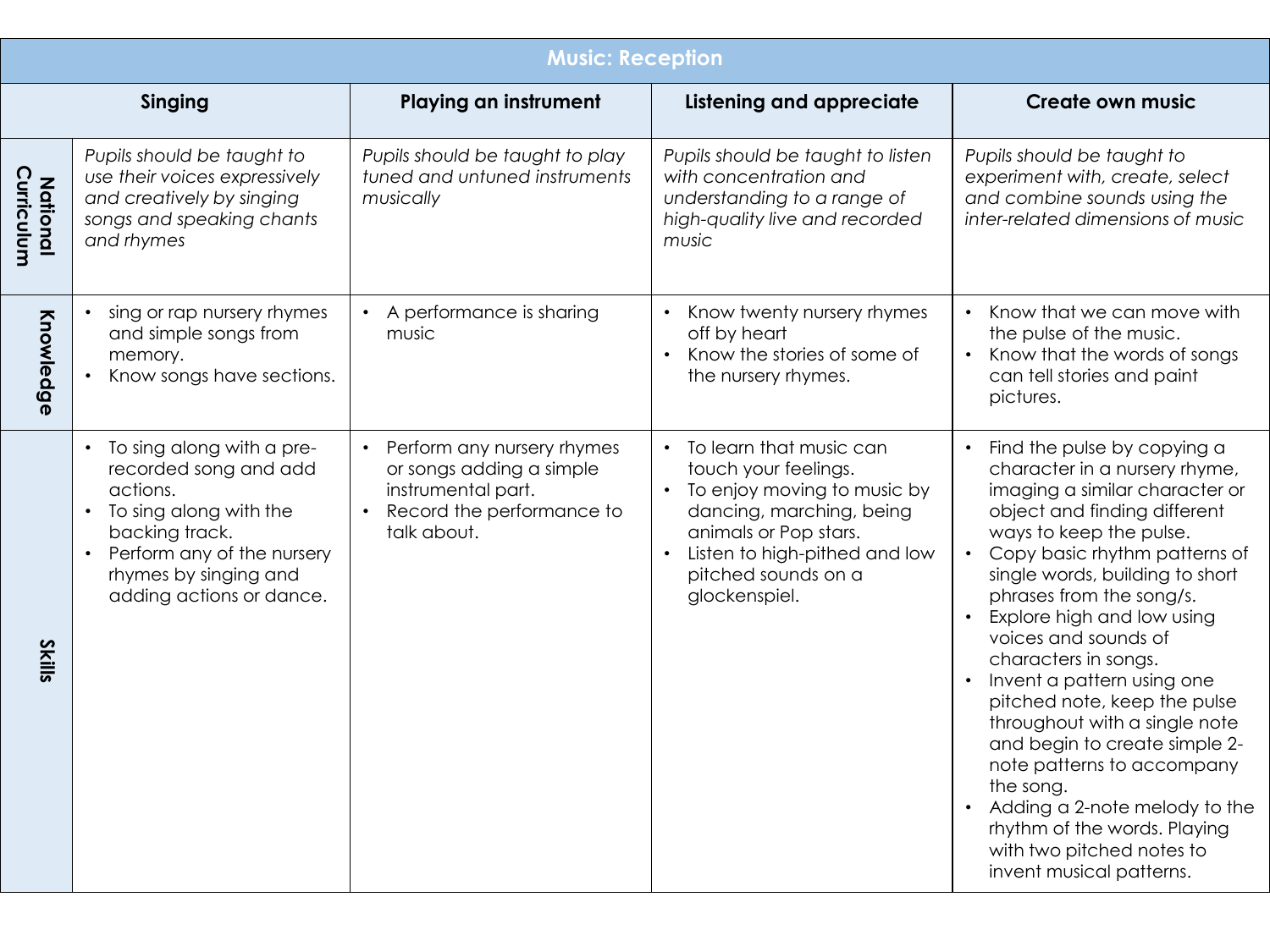|                               | <b>Music: Reception</b>                                                                                                                                                                                      |                                                                                                                                       |                                                                                                                                                                                                                  |                                                                                                                                                                                                                                                                                                                                                                                                                                                                                                                                                                                                                                              |  |
|-------------------------------|--------------------------------------------------------------------------------------------------------------------------------------------------------------------------------------------------------------|---------------------------------------------------------------------------------------------------------------------------------------|------------------------------------------------------------------------------------------------------------------------------------------------------------------------------------------------------------------|----------------------------------------------------------------------------------------------------------------------------------------------------------------------------------------------------------------------------------------------------------------------------------------------------------------------------------------------------------------------------------------------------------------------------------------------------------------------------------------------------------------------------------------------------------------------------------------------------------------------------------------------|--|
|                               | Singing                                                                                                                                                                                                      | <b>Playing an instrument</b>                                                                                                          | <b>Listening and appreciate</b>                                                                                                                                                                                  | <b>Create own music</b>                                                                                                                                                                                                                                                                                                                                                                                                                                                                                                                                                                                                                      |  |
| Curriculum<br><b>National</b> | Pupils should be taught to<br>use their voices expressively<br>and creatively by singing<br>songs and speaking chants<br>and rhymes                                                                          | Pupils should be taught to play<br>tuned and untuned instruments<br>musically                                                         | Pupils should be taught to listen<br>with concentration and<br>understanding to a range of<br>high-quality live and recorded<br>music                                                                            | Pupils should be taught to<br>experiment with, create, select<br>and combine sounds using the<br>inter-related dimensions of music                                                                                                                                                                                                                                                                                                                                                                                                                                                                                                           |  |
| Knowledge                     | sing or rap nursery rhymes<br>and simple songs from<br>memory.<br>Know songs have sections.                                                                                                                  | • A performance is sharing<br>music                                                                                                   | Know twenty nursery rhymes<br>off by heart<br>Know the stories of some of<br>$\bullet$<br>the nursery rhymes.                                                                                                    | Know that we can move with<br>the pulse of the music.<br>Know that the words of songs<br>can tell stories and paint<br>pictures.                                                                                                                                                                                                                                                                                                                                                                                                                                                                                                             |  |
| <b>Skills</b>                 | • To sing along with a pre-<br>recorded song and add<br>actions.<br>To sing along with the<br>$\bullet$<br>backing track.<br>Perform any of the nursery<br>rhymes by singing and<br>adding actions or dance. | Perform any nursery rhymes<br>or songs adding a simple<br>instrumental part.<br>Record the performance to<br>$\bullet$<br>talk about. | • To learn that music can<br>touch your feelings.<br>• To enjoy moving to music by<br>dancing, marching, being<br>animals or Pop stars.<br>Listen to high-pithed and low<br>pitched sounds on a<br>glockenspiel. | Find the pulse by copying a<br>character in a nursery rhyme,<br>imaging a similar character or<br>object and finding different<br>ways to keep the pulse.<br>Copy basic rhythm patterns of<br>single words, building to short<br>phrases from the song/s.<br>Explore high and low using<br>voices and sounds of<br>characters in songs.<br>Invent a pattern using one<br>pitched note, keep the pulse<br>throughout with a single note<br>and begin to create simple 2-<br>note patterns to accompany<br>the song.<br>Adding a 2-note melody to the<br>rhythm of the words. Playing<br>with two pitched notes to<br>invent musical patterns. |  |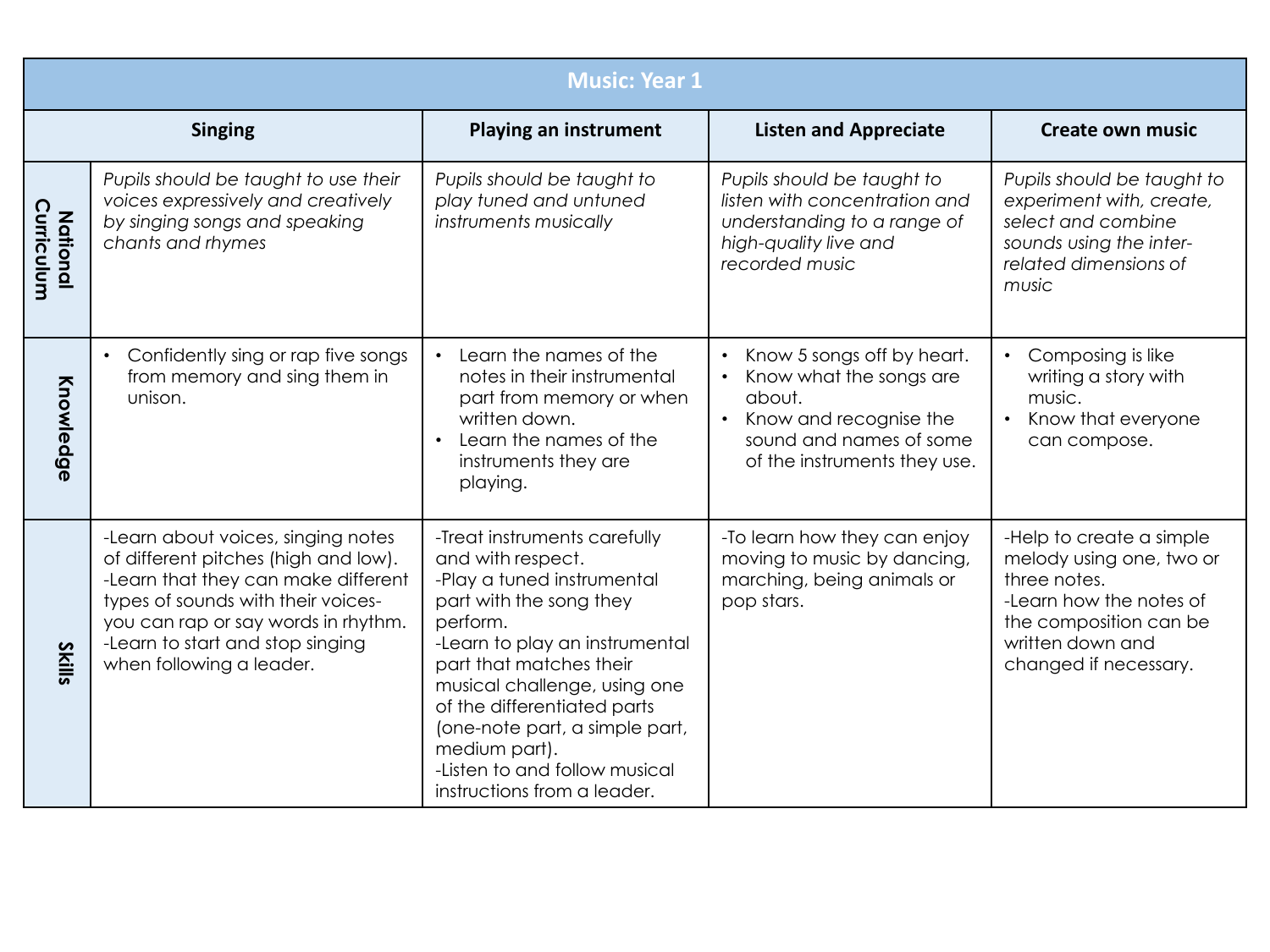|                               | <b>Music: Year 1</b>                                                                                                                                                                                                                                           |                                                                                                                                                                                                                                                                                                                                                                       |                                                                                                                                                      |                                                                                                                                                                        |  |
|-------------------------------|----------------------------------------------------------------------------------------------------------------------------------------------------------------------------------------------------------------------------------------------------------------|-----------------------------------------------------------------------------------------------------------------------------------------------------------------------------------------------------------------------------------------------------------------------------------------------------------------------------------------------------------------------|------------------------------------------------------------------------------------------------------------------------------------------------------|------------------------------------------------------------------------------------------------------------------------------------------------------------------------|--|
|                               | <b>Singing</b>                                                                                                                                                                                                                                                 | <b>Playing an instrument</b>                                                                                                                                                                                                                                                                                                                                          | <b>Listen and Appreciate</b>                                                                                                                         | <b>Create own music</b>                                                                                                                                                |  |
| Curriculum<br><b>National</b> | Pupils should be taught to use their<br>voices expressively and creatively<br>by singing songs and speaking<br>chants and rhymes                                                                                                                               | Pupils should be taught to<br>play tuned and untuned<br>instruments musically                                                                                                                                                                                                                                                                                         | Pupils should be taught to<br>listen with concentration and<br>understanding to a range of<br>high-quality live and<br>recorded music                | Pupils should be taught to<br>experiment with, create,<br>select and combine<br>sounds using the inter-<br>related dimensions of<br>music                              |  |
| Knowledge                     | Confidently sing or rap five songs<br>from memory and sing them in<br>unison.                                                                                                                                                                                  | Learn the names of the<br>notes in their instrumental<br>part from memory or when<br>written down.<br>Learn the names of the<br>instruments they are<br>playing.                                                                                                                                                                                                      | Know 5 songs off by heart.<br>Know what the songs are<br>about.<br>Know and recognise the<br>sound and names of some<br>of the instruments they use. | Composing is like<br>$\bullet$<br>writing a story with<br>music.<br>Know that everyone<br>can compose.                                                                 |  |
| <b>Skills</b>                 | -Learn about voices, singing notes<br>of different pitches (high and low).<br>-Learn that they can make different<br>types of sounds with their voices-<br>you can rap or say words in rhythm.<br>-Learn to start and stop singing<br>when following a leader. | -Treat instruments carefully<br>and with respect.<br>-Play a tuned instrumental<br>part with the song they<br>perform.<br>-Learn to play an instrumental<br>part that matches their<br>musical challenge, using one<br>of the differentiated parts<br>(one-note part, a simple part,<br>medium part).<br>-Listen to and follow musical<br>instructions from a leader. | -To learn how they can enjoy<br>moving to music by dancing,<br>marching, being animals or<br>pop stars.                                              | -Help to create a simple<br>melody using one, two or<br>three notes.<br>-Learn how the notes of<br>the composition can be<br>written down and<br>changed if necessary. |  |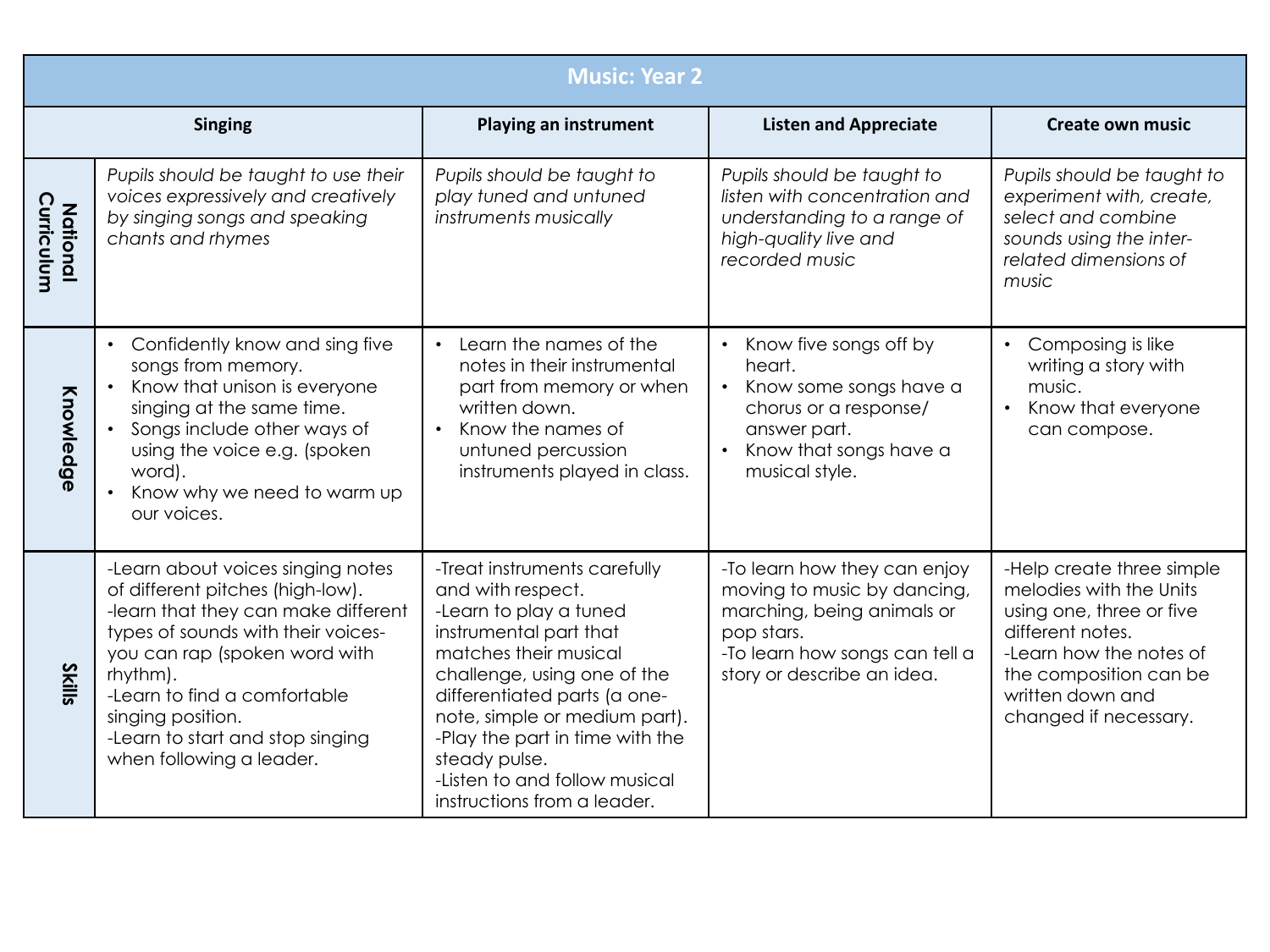|                               | <b>Music: Year 2</b>                                                                                                                                                                                                                                                                                                 |                                                                                                                                                                                                                                                                                                                                                    |                                                                                                                                                                         |                                                                                                                                                                                                        |  |
|-------------------------------|----------------------------------------------------------------------------------------------------------------------------------------------------------------------------------------------------------------------------------------------------------------------------------------------------------------------|----------------------------------------------------------------------------------------------------------------------------------------------------------------------------------------------------------------------------------------------------------------------------------------------------------------------------------------------------|-------------------------------------------------------------------------------------------------------------------------------------------------------------------------|--------------------------------------------------------------------------------------------------------------------------------------------------------------------------------------------------------|--|
|                               | <b>Singing</b>                                                                                                                                                                                                                                                                                                       | <b>Playing an instrument</b>                                                                                                                                                                                                                                                                                                                       | <b>Listen and Appreciate</b>                                                                                                                                            | <b>Create own music</b>                                                                                                                                                                                |  |
| Curriculum<br><b>National</b> | Pupils should be taught to use their<br>voices expressively and creatively<br>by singing songs and speaking<br>chants and rhymes                                                                                                                                                                                     | Pupils should be taught to<br>play tuned and untuned<br>instruments musically                                                                                                                                                                                                                                                                      | Pupils should be taught to<br>listen with concentration and<br>understanding to a range of<br>high-quality live and<br>recorded music                                   | Pupils should be taught to<br>experiment with, create,<br>select and combine<br>sounds using the inter-<br>related dimensions of<br>music                                                              |  |
| Knowledge                     | Confidently know and sing five<br>$\bullet$<br>songs from memory.<br>Know that unison is everyone<br>$\bullet$<br>singing at the same time.<br>Songs include other ways of<br>using the voice e.g. (spoken<br>word).<br>Know why we need to warm up<br>our voices.                                                   | Learn the names of the<br>$\bullet$<br>notes in their instrumental<br>part from memory or when<br>written down.<br>Know the names of<br>$\bullet$<br>untuned percussion<br>instruments played in class.                                                                                                                                            | Know five songs off by<br>$\bullet$<br>heart.<br>Know some songs have a<br>chorus or a response/<br>answer part.<br>Know that songs have a<br>musical style.            | Composing is like<br>$\bullet$<br>writing a story with<br>music.<br>Know that everyone<br>$\bullet$<br>can compose.                                                                                    |  |
| <b>Skills</b>                 | -Learn about voices singing notes<br>of different pitches (high-low).<br>-learn that they can make different<br>types of sounds with their voices-<br>you can rap (spoken word with<br>rhythm).<br>-Learn to find a comfortable<br>singing position.<br>-Learn to start and stop singing<br>when following a leader. | -Treat instruments carefully<br>and with respect.<br>-Learn to play a tuned<br>instrumental part that<br>matches their musical<br>challenge, using one of the<br>differentiated parts (a one-<br>note, simple or medium part).<br>-Play the part in time with the<br>steady pulse.<br>-Listen to and follow musical<br>instructions from a leader. | -To learn how they can enjoy<br>moving to music by dancing,<br>marching, being animals or<br>pop stars.<br>-To learn how songs can tell a<br>story or describe an idea. | -Help create three simple<br>melodies with the Units<br>using one, three or five<br>different notes.<br>-Learn how the notes of<br>the composition can be<br>written down and<br>changed if necessary. |  |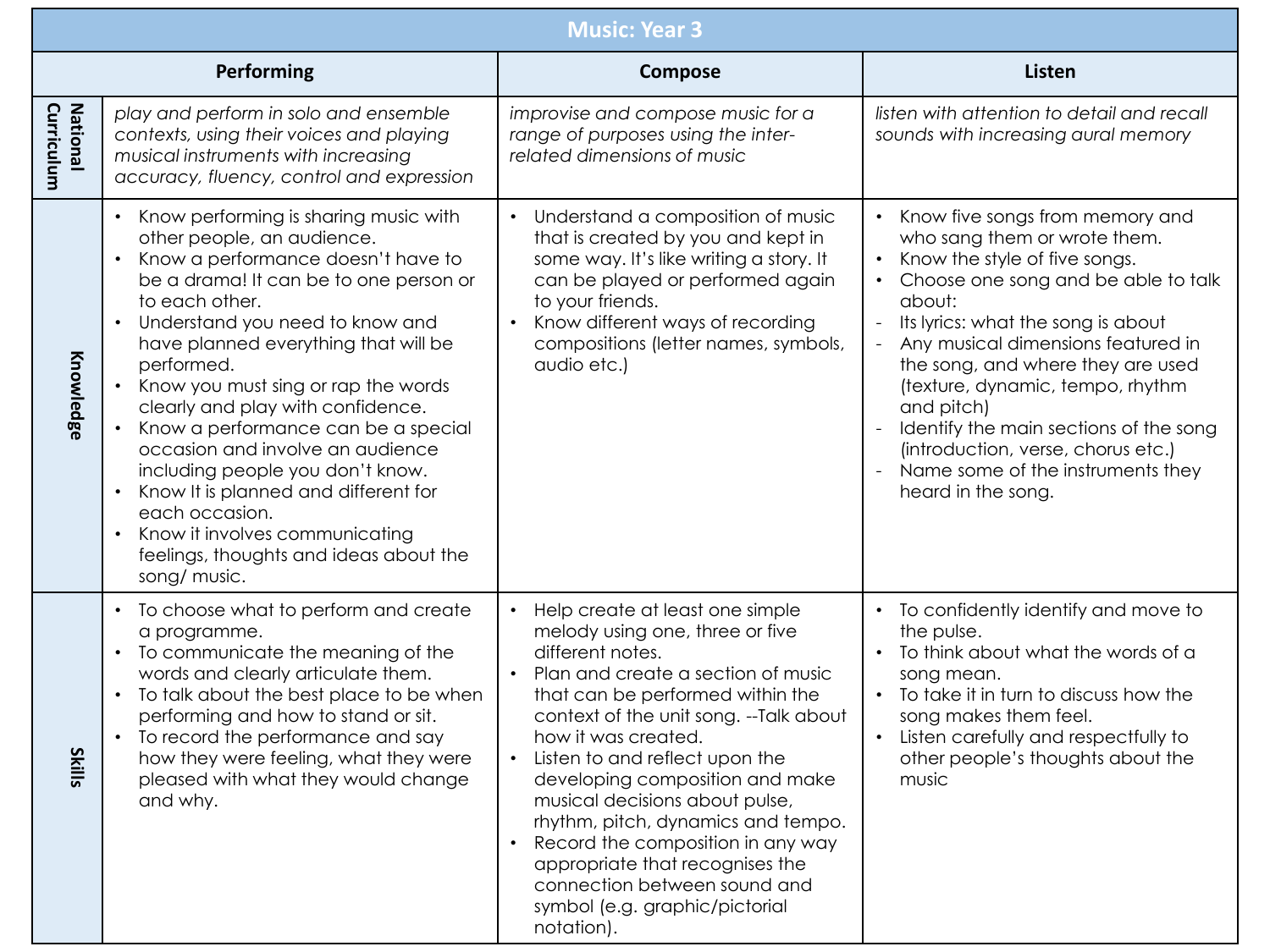|                        | <b>Music: Year 3</b>                                                                                                                                                                                                                                                                                                                                                                                                                                                                                                                                                                                                                                                                          |                                                                                                                                                                                                                                                                                                                                                                                                                                                                                                                                         |                                                                                                                                                                                                                                                                                                                                                                                                                                                                                                                                      |  |  |  |
|------------------------|-----------------------------------------------------------------------------------------------------------------------------------------------------------------------------------------------------------------------------------------------------------------------------------------------------------------------------------------------------------------------------------------------------------------------------------------------------------------------------------------------------------------------------------------------------------------------------------------------------------------------------------------------------------------------------------------------|-----------------------------------------------------------------------------------------------------------------------------------------------------------------------------------------------------------------------------------------------------------------------------------------------------------------------------------------------------------------------------------------------------------------------------------------------------------------------------------------------------------------------------------------|--------------------------------------------------------------------------------------------------------------------------------------------------------------------------------------------------------------------------------------------------------------------------------------------------------------------------------------------------------------------------------------------------------------------------------------------------------------------------------------------------------------------------------------|--|--|--|
|                        | Performing                                                                                                                                                                                                                                                                                                                                                                                                                                                                                                                                                                                                                                                                                    | Compose                                                                                                                                                                                                                                                                                                                                                                                                                                                                                                                                 | <b>Listen</b>                                                                                                                                                                                                                                                                                                                                                                                                                                                                                                                        |  |  |  |
| National<br>Curriculum | play and perform in solo and ensemble<br>contexts, using their voices and playing<br>musical instruments with increasing<br>accuracy, fluency, control and expression                                                                                                                                                                                                                                                                                                                                                                                                                                                                                                                         | improvise and compose music for a<br>range of purposes using the inter-<br>related dimensions of music                                                                                                                                                                                                                                                                                                                                                                                                                                  | listen with attention to detail and recall<br>sounds with increasing aural memory                                                                                                                                                                                                                                                                                                                                                                                                                                                    |  |  |  |
| Knowledge              | Know performing is sharing music with<br>$\bullet$<br>other people, an audience.<br>Know a performance doesn't have to<br>$\bullet$<br>be a drama! It can be to one person or<br>to each other.<br>Understand you need to know and<br>$\bullet$<br>have planned everything that will be<br>performed.<br>Know you must sing or rap the words<br>$\bullet$<br>clearly and play with confidence.<br>Know a performance can be a special<br>occasion and involve an audience<br>including people you don't know.<br>Know It is planned and different for<br>$\bullet$<br>each occasion.<br>Know it involves communicating<br>$\bullet$<br>feelings, thoughts and ideas about the<br>song/ music. | Understand a composition of music<br>that is created by you and kept in<br>some way. It's like writing a story. It<br>can be played or performed again<br>to your friends.<br>Know different ways of recording<br>compositions (letter names, symbols,<br>audio etc.)                                                                                                                                                                                                                                                                   | Know five songs from memory and<br>$\bullet$<br>who sang them or wrote them.<br>Know the style of five songs.<br>$\bullet$<br>Choose one song and be able to talk<br>$\bullet$<br>about:<br>Its lyrics: what the song is about<br>$\omega$<br>Any musical dimensions featured in<br>$\blacksquare$<br>the song, and where they are used<br>(texture, dynamic, tempo, rhythm<br>and pitch)<br>Identify the main sections of the song<br>(introduction, verse, chorus etc.)<br>Name some of the instruments they<br>heard in the song. |  |  |  |
| <b>Skills</b>          | To choose what to perform and create<br>$\bullet$<br>a programme.<br>To communicate the meaning of the<br>$\bullet$<br>words and clearly articulate them.<br>To talk about the best place to be when<br>$\bullet$<br>performing and how to stand or sit.<br>To record the performance and say<br>$\bullet$<br>how they were feeling, what they were<br>pleased with what they would change<br>and why.                                                                                                                                                                                                                                                                                        | Help create at least one simple<br>melody using one, three or five<br>different notes.<br>Plan and create a section of music<br>that can be performed within the<br>context of the unit song. -- Talk about<br>how it was created.<br>Listen to and reflect upon the<br>developing composition and make<br>musical decisions about pulse,<br>rhythm, pitch, dynamics and tempo.<br>Record the composition in any way<br>appropriate that recognises the<br>connection between sound and<br>symbol (e.g. graphic/pictorial<br>notation). | • To confidently identify and move to<br>the pulse.<br>• To think about what the words of a<br>song mean.<br>• To take it in turn to discuss how the<br>song makes them feel.<br>Listen carefully and respectfully to<br>other people's thoughts about the<br>music                                                                                                                                                                                                                                                                  |  |  |  |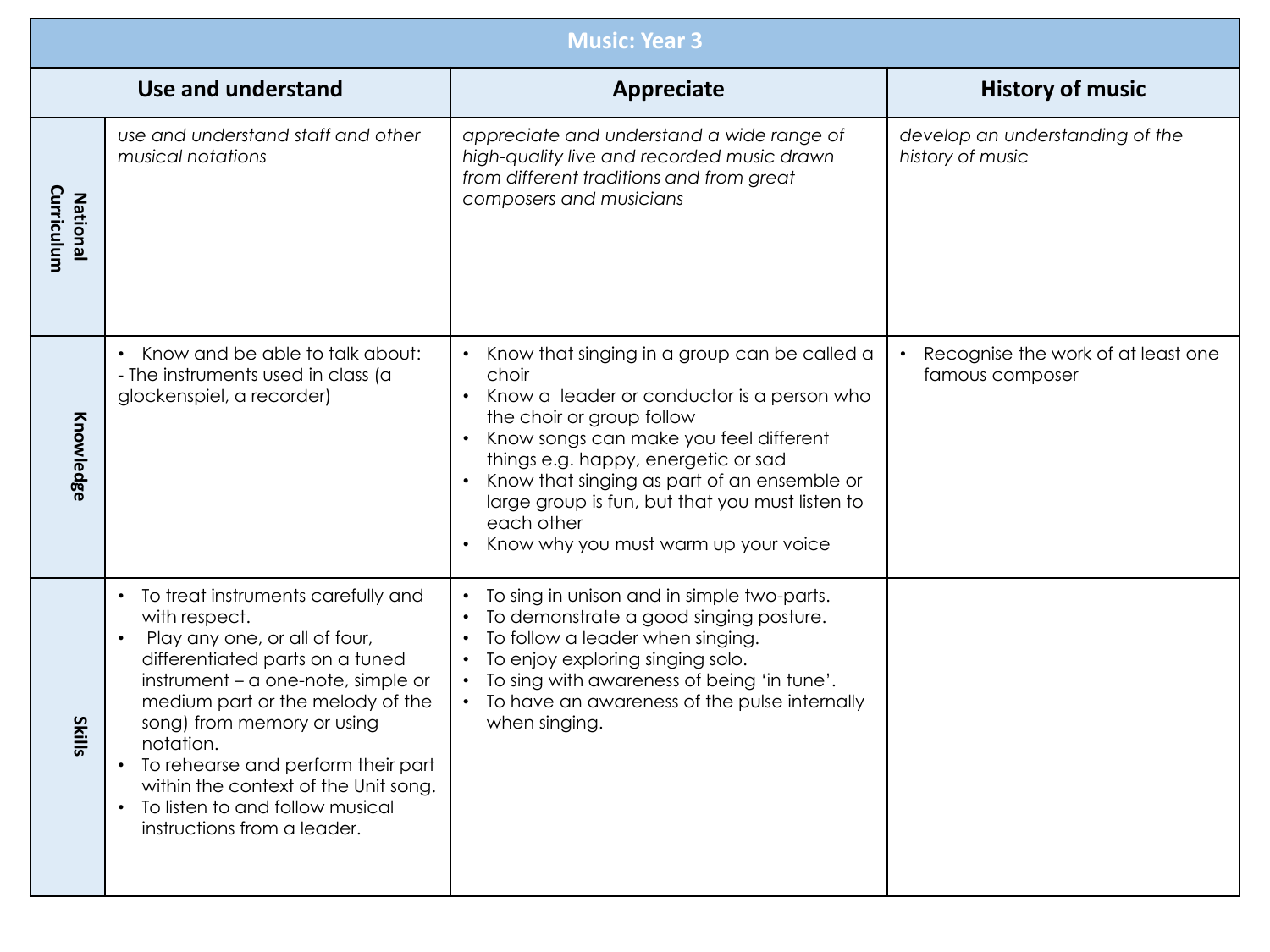|                               | <b>Music: Year 3</b>                                                                                                                                                                                                                                                                                                                                                                               |                                                                                                                                                                                                                                                                                                                                                                           |                                                       |  |  |
|-------------------------------|----------------------------------------------------------------------------------------------------------------------------------------------------------------------------------------------------------------------------------------------------------------------------------------------------------------------------------------------------------------------------------------------------|---------------------------------------------------------------------------------------------------------------------------------------------------------------------------------------------------------------------------------------------------------------------------------------------------------------------------------------------------------------------------|-------------------------------------------------------|--|--|
|                               | Use and understand                                                                                                                                                                                                                                                                                                                                                                                 | <b>Appreciate</b>                                                                                                                                                                                                                                                                                                                                                         | <b>History of music</b>                               |  |  |
| Curriculum<br><b>National</b> | use and understand staff and other<br>musical notations                                                                                                                                                                                                                                                                                                                                            | appreciate and understand a wide range of<br>high-quality live and recorded music drawn<br>from different traditions and from great<br>composers and musicians                                                                                                                                                                                                            | develop an understanding of the<br>history of music   |  |  |
| Knowledge                     | Know and be able to talk about:<br>- The instruments used in class (a<br>glockenspiel, a recorder)                                                                                                                                                                                                                                                                                                 | Know that singing in a group can be called a<br>choir<br>Know a leader or conductor is a person who<br>the choir or group follow<br>Know songs can make you feel different<br>things e.g. happy, energetic or sad<br>Know that singing as part of an ensemble or<br>large group is fun, but that you must listen to<br>each other<br>Know why you must warm up your voice | Recognise the work of at least one<br>famous composer |  |  |
| <b>Skills</b>                 | • To treat instruments carefully and<br>with respect.<br>Play any one, or all of four,<br>differentiated parts on a tuned<br>instrument - a one-note, simple or<br>medium part or the melody of the<br>song) from memory or using<br>notation.<br>• To rehearse and perform their part<br>within the context of the Unit song.<br>• To listen to and follow musical<br>instructions from a leader. | To sing in unison and in simple two-parts.<br>To demonstrate a good singing posture.<br>To follow a leader when singing.<br>To enjoy exploring singing solo.<br>To sing with awareness of being 'in tune'.<br>• To have an awareness of the pulse internally<br>when singing.                                                                                             |                                                       |  |  |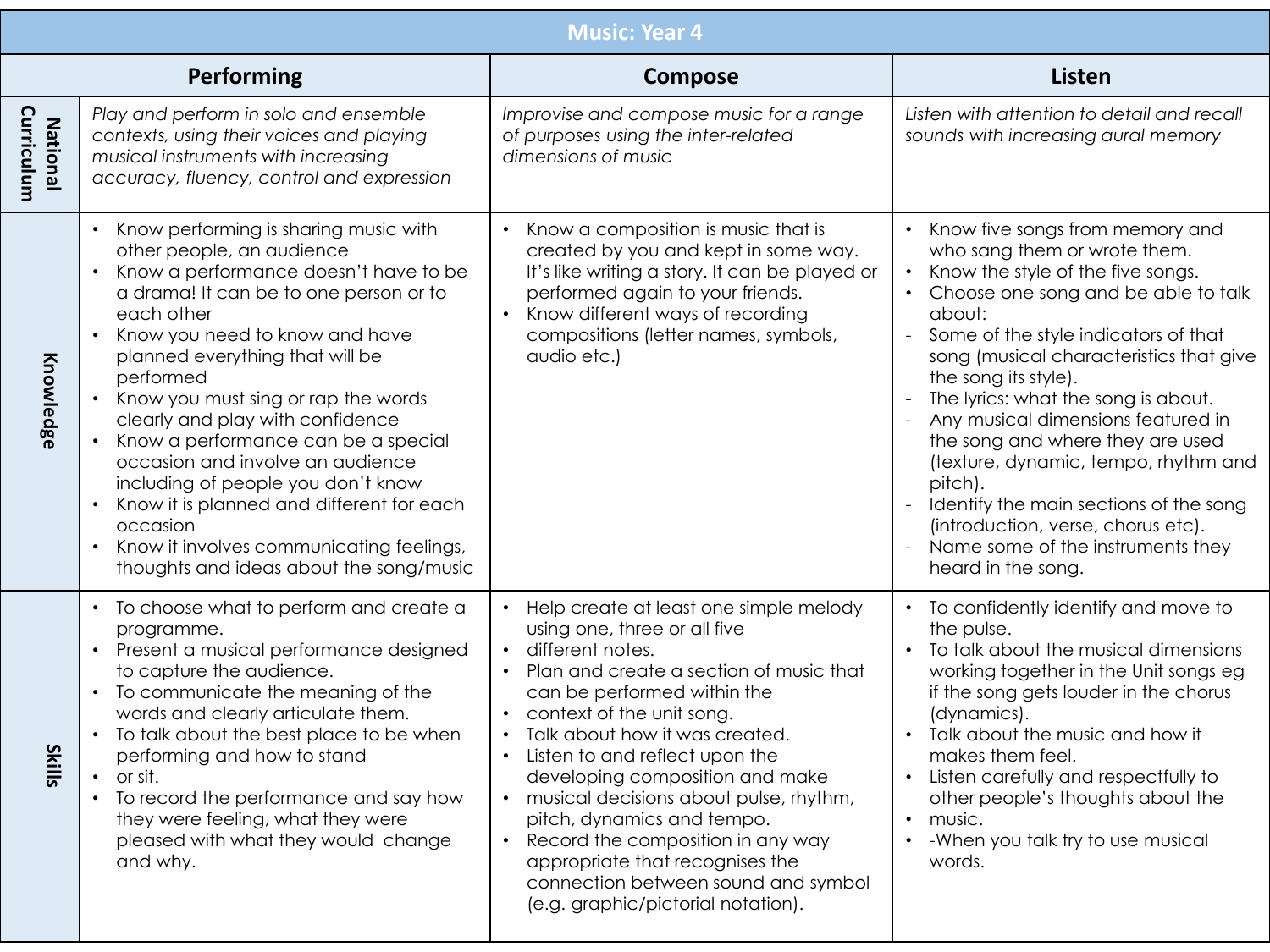|                               | <b>Music: Year 4</b>                                                                                                                                                                                                                                                                                                                                                                                                                                                                                                                                                                                                                                  |                                                                                                                                                                                                                                                                                                                                                                                                                                                                                                                                       |                                                                                                                                                                                                                                                                                                                                                                                                                                                                                                                                                                                 |  |  |
|-------------------------------|-------------------------------------------------------------------------------------------------------------------------------------------------------------------------------------------------------------------------------------------------------------------------------------------------------------------------------------------------------------------------------------------------------------------------------------------------------------------------------------------------------------------------------------------------------------------------------------------------------------------------------------------------------|---------------------------------------------------------------------------------------------------------------------------------------------------------------------------------------------------------------------------------------------------------------------------------------------------------------------------------------------------------------------------------------------------------------------------------------------------------------------------------------------------------------------------------------|---------------------------------------------------------------------------------------------------------------------------------------------------------------------------------------------------------------------------------------------------------------------------------------------------------------------------------------------------------------------------------------------------------------------------------------------------------------------------------------------------------------------------------------------------------------------------------|--|--|
|                               | Performing                                                                                                                                                                                                                                                                                                                                                                                                                                                                                                                                                                                                                                            | <b>Compose</b>                                                                                                                                                                                                                                                                                                                                                                                                                                                                                                                        | <b>Listen</b>                                                                                                                                                                                                                                                                                                                                                                                                                                                                                                                                                                   |  |  |
| Curriculum<br><b>National</b> | Play and perform in solo and ensemble<br>contexts, using their voices and playing<br>musical instruments with increasing<br>accuracy, fluency, control and expression                                                                                                                                                                                                                                                                                                                                                                                                                                                                                 | Improvise and compose music for a range<br>of purposes using the inter-related<br>dimensions of music                                                                                                                                                                                                                                                                                                                                                                                                                                 | Listen with attention to detail and recall<br>sounds with increasing aural memory                                                                                                                                                                                                                                                                                                                                                                                                                                                                                               |  |  |
| Knowledge                     | Know performing is sharing music with<br>$\bullet$<br>other people, an audience<br>Know a performance doesn't have to be<br>a drama! It can be to one person or to<br>each other<br>Know you need to know and have<br>$\bullet$<br>planned everything that will be<br>performed<br>Know you must sing or rap the words<br>clearly and play with confidence<br>Know a performance can be a special<br>occasion and involve an audience<br>including of people you don't know<br>Know it is planned and different for each<br>$\bullet$<br>occasion<br>Know it involves communicating feelings,<br>$\bullet$<br>thoughts and ideas about the song/music | Know a composition is music that is<br>created by you and kept in some way.<br>It's like writing a story. It can be played or<br>performed again to your friends.<br>Know different ways of recording<br>compositions (letter names, symbols,<br>audio etc.)                                                                                                                                                                                                                                                                          | Know five songs from memory and<br>who sang them or wrote them.<br>Know the style of the five songs.<br>Choose one song and be able to talk<br>about:<br>Some of the style indicators of that<br>song (musical characteristics that give<br>the song its style).<br>The lyrics: what the song is about.<br>Any musical dimensions featured in<br>the song and where they are used<br>(texture, dynamic, tempo, rhythm and<br>pitch).<br>Identify the main sections of the song<br>(introduction, verse, chorus etc).<br>Name some of the instruments they<br>heard in the song. |  |  |
| <b>Skills</b>                 | To choose what to perform and create a<br>$\bullet$<br>programme.<br>Present a musical performance designed<br>$\bullet$<br>to capture the audience.<br>To communicate the meaning of the<br>$\bullet$<br>words and clearly articulate them.<br>To talk about the best place to be when<br>$\bullet$<br>performing and how to stand<br>or sit.<br>To record the performance and say how<br>they were feeling, what they were<br>pleased with what they would change<br>and why.                                                                                                                                                                       | Help create at least one simple melody<br>using one, three or all five<br>different notes.<br>Plan and create a section of music that<br>can be performed within the<br>context of the unit song.<br>Talk about how it was created.<br>Listen to and reflect upon the<br>developing composition and make<br>musical decisions about pulse, rhythm,<br>pitch, dynamics and tempo.<br>Record the composition in any way<br>appropriate that recognises the<br>connection between sound and symbol<br>(e.g. graphic/pictorial notation). | To confidently identify and move to<br>the pulse.<br>To talk about the musical dimensions<br>working together in the Unit songs eg<br>if the song gets louder in the chorus<br>(dynamics).<br>Talk about the music and how it<br>makes them feel.<br>Listen carefully and respectfully to<br>other people's thoughts about the<br>music.<br>-When you talk try to use musical<br>$\bullet$<br>words.                                                                                                                                                                            |  |  |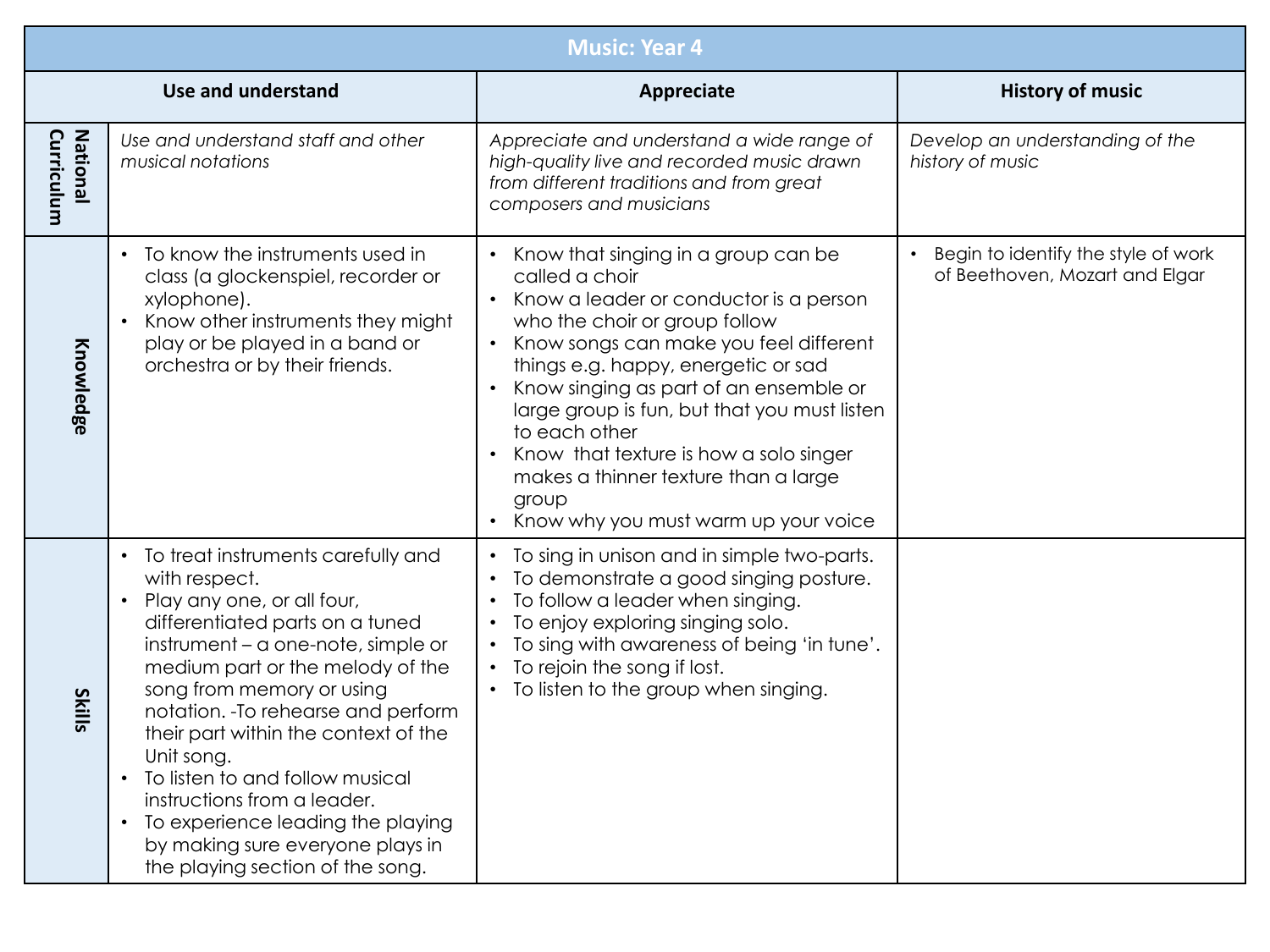| <b>Music: Year 4</b>          |                                                                                                                                                                                                                                                                                                                                                                                                                                                                                                           |                                                                                                                                                                                                                                                                                                                                                                                                                                                                                                                     |                                                                       |  |
|-------------------------------|-----------------------------------------------------------------------------------------------------------------------------------------------------------------------------------------------------------------------------------------------------------------------------------------------------------------------------------------------------------------------------------------------------------------------------------------------------------------------------------------------------------|---------------------------------------------------------------------------------------------------------------------------------------------------------------------------------------------------------------------------------------------------------------------------------------------------------------------------------------------------------------------------------------------------------------------------------------------------------------------------------------------------------------------|-----------------------------------------------------------------------|--|
|                               | Use and understand                                                                                                                                                                                                                                                                                                                                                                                                                                                                                        | Appreciate                                                                                                                                                                                                                                                                                                                                                                                                                                                                                                          | <b>History of music</b>                                               |  |
| Curriculum<br><b>National</b> | Use and understand staff and other<br>musical notations                                                                                                                                                                                                                                                                                                                                                                                                                                                   | Appreciate and understand a wide range of<br>high-quality live and recorded music drawn<br>from different traditions and from great<br>composers and musicians                                                                                                                                                                                                                                                                                                                                                      | Develop an understanding of the<br>history of music                   |  |
| Knowledge                     | To know the instruments used in<br>class (a glockenspiel, recorder or<br>xylophone).<br>Know other instruments they might<br>play or be played in a band or<br>orchestra or by their friends.                                                                                                                                                                                                                                                                                                             | Know that singing in a group can be<br>called a choir<br>Know a leader or conductor is a person<br>$\bullet$<br>who the choir or group follow<br>Know songs can make you feel different<br>$\bullet$<br>things e.g. happy, energetic or sad<br>Know singing as part of an ensemble or<br>$\bullet$<br>large group is fun, but that you must listen<br>to each other<br>Know that texture is how a solo singer<br>$\bullet$<br>makes a thinner texture than a large<br>group<br>Know why you must warm up your voice | Begin to identify the style of work<br>of Beethoven, Mozart and Elgar |  |
| <b>Skills</b>                 | • To treat instruments carefully and<br>with respect.<br>Play any one, or all four,<br>differentiated parts on a tuned<br>instrument – a one-note, simple or<br>medium part or the melody of the<br>song from memory or using<br>notation. - To rehearse and perform<br>their part within the context of the<br>Unit song.<br>To listen to and follow musical<br>instructions from a leader.<br>To experience leading the playing<br>by making sure everyone plays in<br>the playing section of the song. | • To sing in unison and in simple two-parts.<br>To demonstrate a good singing posture.<br>To follow a leader when singing.<br>To enjoy exploring singing solo.<br>To sing with awareness of being 'in tune'.<br>$\bullet$<br>To rejoin the song if lost.<br>$\bullet$<br>To listen to the group when singing.                                                                                                                                                                                                       |                                                                       |  |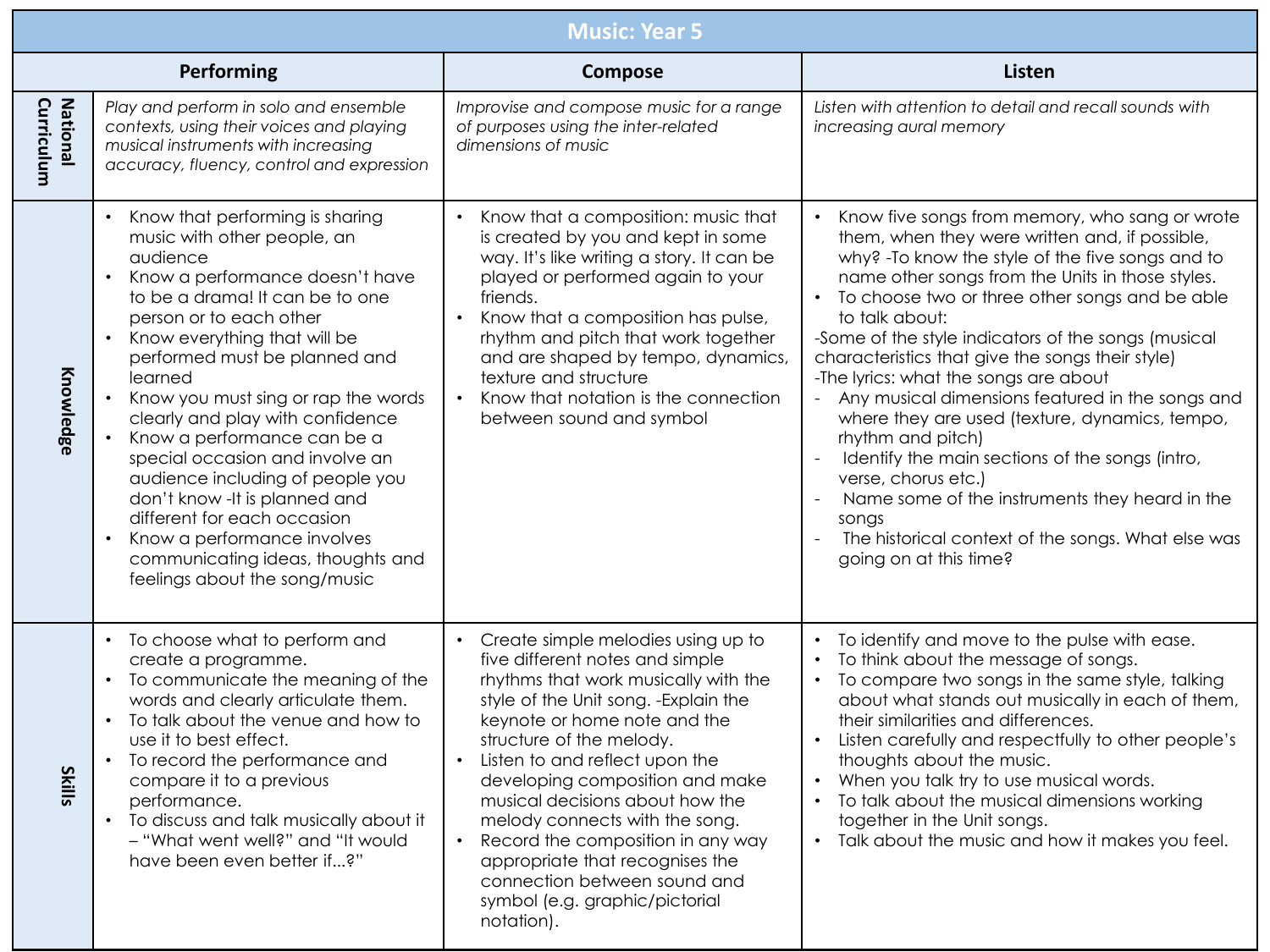|                               | <b>Music: Year 5</b>                                                                                                                                                                                                                                                                                                                                                                                                                                                                                                                                                                                                                                  |                                                                                                                                                                                                                                                                                                                                                                                                                                                                                                                                                             |                                                                                                                                                                                                                                                                                                                                                                                                                                                                                                                                                                                                                                                                                                                                                                                                             |  |  |
|-------------------------------|-------------------------------------------------------------------------------------------------------------------------------------------------------------------------------------------------------------------------------------------------------------------------------------------------------------------------------------------------------------------------------------------------------------------------------------------------------------------------------------------------------------------------------------------------------------------------------------------------------------------------------------------------------|-------------------------------------------------------------------------------------------------------------------------------------------------------------------------------------------------------------------------------------------------------------------------------------------------------------------------------------------------------------------------------------------------------------------------------------------------------------------------------------------------------------------------------------------------------------|-------------------------------------------------------------------------------------------------------------------------------------------------------------------------------------------------------------------------------------------------------------------------------------------------------------------------------------------------------------------------------------------------------------------------------------------------------------------------------------------------------------------------------------------------------------------------------------------------------------------------------------------------------------------------------------------------------------------------------------------------------------------------------------------------------------|--|--|
|                               | Performing                                                                                                                                                                                                                                                                                                                                                                                                                                                                                                                                                                                                                                            | Compose                                                                                                                                                                                                                                                                                                                                                                                                                                                                                                                                                     | <b>Listen</b>                                                                                                                                                                                                                                                                                                                                                                                                                                                                                                                                                                                                                                                                                                                                                                                               |  |  |
| <b>National</b><br>Curriculum | Play and perform in solo and ensemble<br>contexts, using their voices and playing<br>musical instruments with increasing<br>accuracy, fluency, control and expression                                                                                                                                                                                                                                                                                                                                                                                                                                                                                 | Improvise and compose music for a range<br>of purposes using the inter-related<br>dimensions of music                                                                                                                                                                                                                                                                                                                                                                                                                                                       | Listen with attention to detail and recall sounds with<br>increasing aural memory                                                                                                                                                                                                                                                                                                                                                                                                                                                                                                                                                                                                                                                                                                                           |  |  |
| Knowledge                     | Know that performing is sharing<br>$\bullet$<br>music with other people, an<br>audience<br>Know a performance doesn't have<br>$\bullet$<br>to be a drama! It can be to one<br>person or to each other<br>Know everything that will be<br>$\bullet$<br>performed must be planned and<br>learned<br>Know you must sing or rap the words<br>clearly and play with confidence<br>Know a performance can be a<br>special occasion and involve an<br>audience including of people you<br>don't know - It is planned and<br>different for each occasion<br>Know a performance involves<br>communicating ideas, thoughts and<br>feelings about the song/music | Know that a composition: music that<br>$\bullet$<br>is created by you and kept in some<br>way. It's like writing a story. It can be<br>played or performed again to your<br>friends.<br>Know that a composition has pulse,<br>$\bullet$<br>rhythm and pitch that work together<br>and are shaped by tempo, dynamics,<br>texture and structure<br>Know that notation is the connection<br>$\bullet$<br>between sound and symbol                                                                                                                              | Know five songs from memory, who sang or wrote<br>$\bullet$<br>them, when they were written and, if possible,<br>why? - To know the style of the five songs and to<br>name other songs from the Units in those styles.<br>To choose two or three other songs and be able<br>$\bullet$<br>to talk about:<br>-Some of the style indicators of the songs (musical<br>characteristics that give the songs their style)<br>-The lyrics: what the songs are about<br>Any musical dimensions featured in the songs and<br>where they are used (texture, dynamics, tempo,<br>rhythm and pitch)<br>Identify the main sections of the songs (intro,<br>verse, chorus etc.)<br>Name some of the instruments they heard in the<br>songs<br>The historical context of the songs. What else was<br>going on at this time? |  |  |
| <b>Skills</b>                 | To choose what to perform and<br>$\bullet$<br>create a programme.<br>To communicate the meaning of the<br>$\bullet$<br>words and clearly articulate them.<br>To talk about the venue and how to<br>$\bullet$<br>use it to best effect.<br>To record the performance and<br>compare it to a previous<br>performance.<br>To discuss and talk musically about it<br>$\bullet$<br>- "What went well?" and "It would<br>have been even better if?"                                                                                                                                                                                                         | Create simple melodies using up to<br>$\bullet$<br>five different notes and simple<br>rhythms that work musically with the<br>style of the Unit song. - Explain the<br>keynote or home note and the<br>structure of the melody.<br>Listen to and reflect upon the<br>$\bullet$<br>developing composition and make<br>musical decisions about how the<br>melody connects with the song.<br>Record the composition in any way<br>$\bullet$<br>appropriate that recognises the<br>connection between sound and<br>symbol (e.g. graphic/pictorial<br>notation). | To identify and move to the pulse with ease.<br>To think about the message of songs.<br>To compare two songs in the same style, talking<br>$\bullet$<br>about what stands out musically in each of them,<br>their similarities and differences.<br>Listen carefully and respectfully to other people's<br>thoughts about the music.<br>When you talk try to use musical words.<br>• To talk about the musical dimensions working<br>together in the Unit songs.<br>Talk about the music and how it makes you feel.<br>$\bullet$                                                                                                                                                                                                                                                                             |  |  |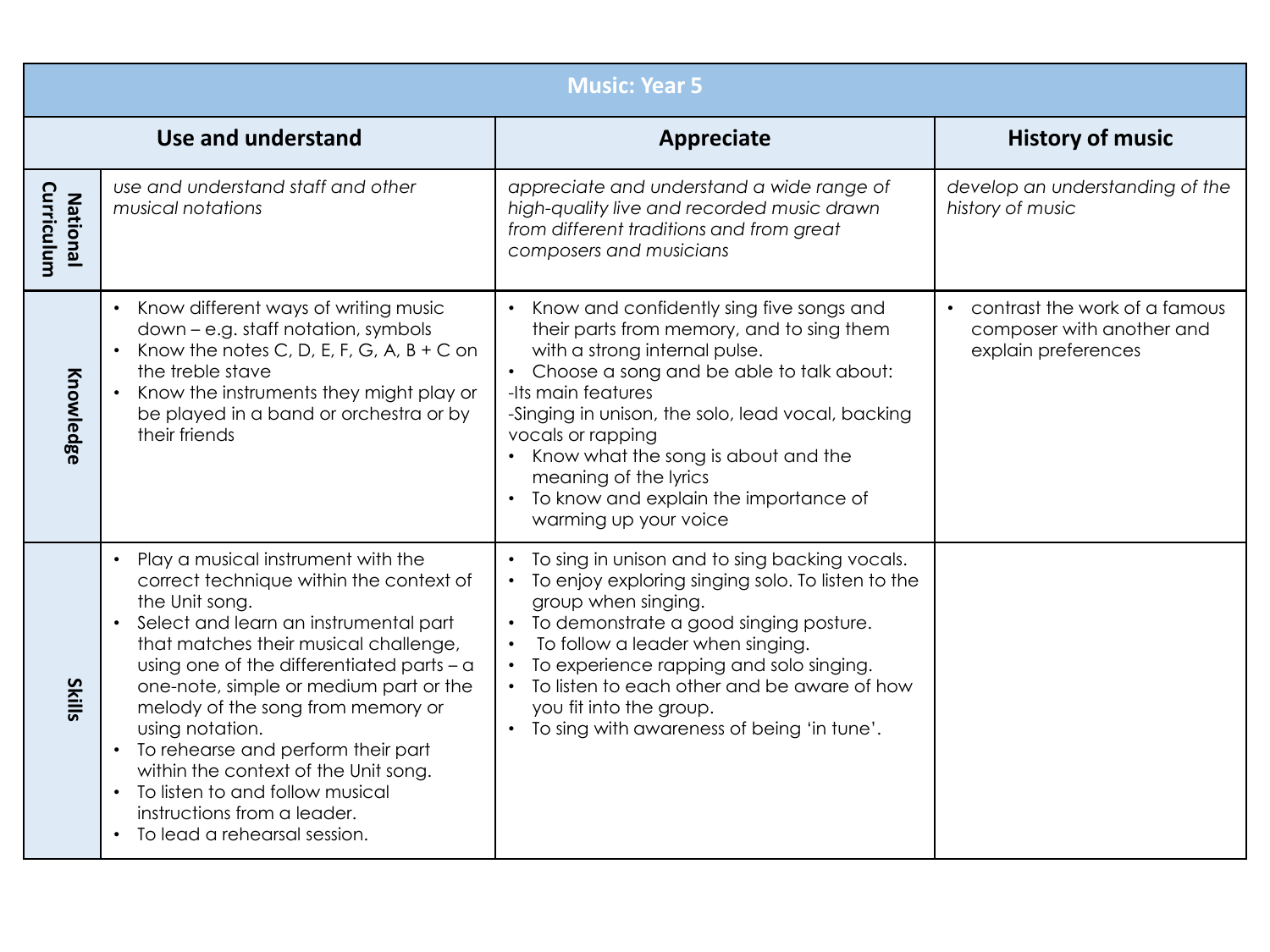|                               | <b>Music: Year 5</b>                                                                                                                                                                                                                                                                                                                                                                                                                                                                                                                             |                                                                                                                                                                                                                                                                                                                                                                                                      |                                                                                   |  |  |
|-------------------------------|--------------------------------------------------------------------------------------------------------------------------------------------------------------------------------------------------------------------------------------------------------------------------------------------------------------------------------------------------------------------------------------------------------------------------------------------------------------------------------------------------------------------------------------------------|------------------------------------------------------------------------------------------------------------------------------------------------------------------------------------------------------------------------------------------------------------------------------------------------------------------------------------------------------------------------------------------------------|-----------------------------------------------------------------------------------|--|--|
|                               | Use and understand                                                                                                                                                                                                                                                                                                                                                                                                                                                                                                                               | Appreciate                                                                                                                                                                                                                                                                                                                                                                                           | <b>History of music</b>                                                           |  |  |
| Curriculum<br><b>National</b> | use and understand staff and other<br>musical notations                                                                                                                                                                                                                                                                                                                                                                                                                                                                                          | appreciate and understand a wide range of<br>high-quality live and recorded music drawn<br>from different traditions and from great<br>composers and musicians                                                                                                                                                                                                                                       | develop an understanding of the<br>history of music                               |  |  |
| Knowledge                     | Know different ways of writing music<br>down - e.g. staff notation, symbols<br>Know the notes C, D, E, F, G, A, $B + C$ on<br>the treble stave<br>Know the instruments they might play or<br>be played in a band or orchestra or by<br>their friends                                                                                                                                                                                                                                                                                             | Know and confidently sing five songs and<br>their parts from memory, and to sing them<br>with a strong internal pulse.<br>Choose a song and be able to talk about:<br>-Its main features<br>-Singing in unison, the solo, lead vocal, backing<br>vocals or rapping<br>Know what the song is about and the<br>meaning of the lyrics<br>To know and explain the importance of<br>warming up your voice | contrast the work of a famous<br>composer with another and<br>explain preferences |  |  |
| <b>Skills</b>                 | Play a musical instrument with the<br>$\bullet$<br>correct technique within the context of<br>the Unit song.<br>Select and learn an instrumental part<br>$\bullet$<br>that matches their musical challenge,<br>using one of the differentiated parts - a<br>one-note, simple or medium part or the<br>melody of the song from memory or<br>using notation.<br>• To rehearse and perform their part<br>within the context of the Unit song.<br>• To listen to and follow musical<br>instructions from a leader.<br>• To lead a rehearsal session. | To sing in unison and to sing backing vocals.<br>To enjoy exploring singing solo. To listen to the<br>group when singing.<br>To demonstrate a good singing posture.<br>To follow a leader when singing.<br>$\bullet$<br>To experience rapping and solo singing.<br>$\bullet$<br>To listen to each other and be aware of how<br>you fit into the group.<br>To sing with awareness of being 'in tune'. |                                                                                   |  |  |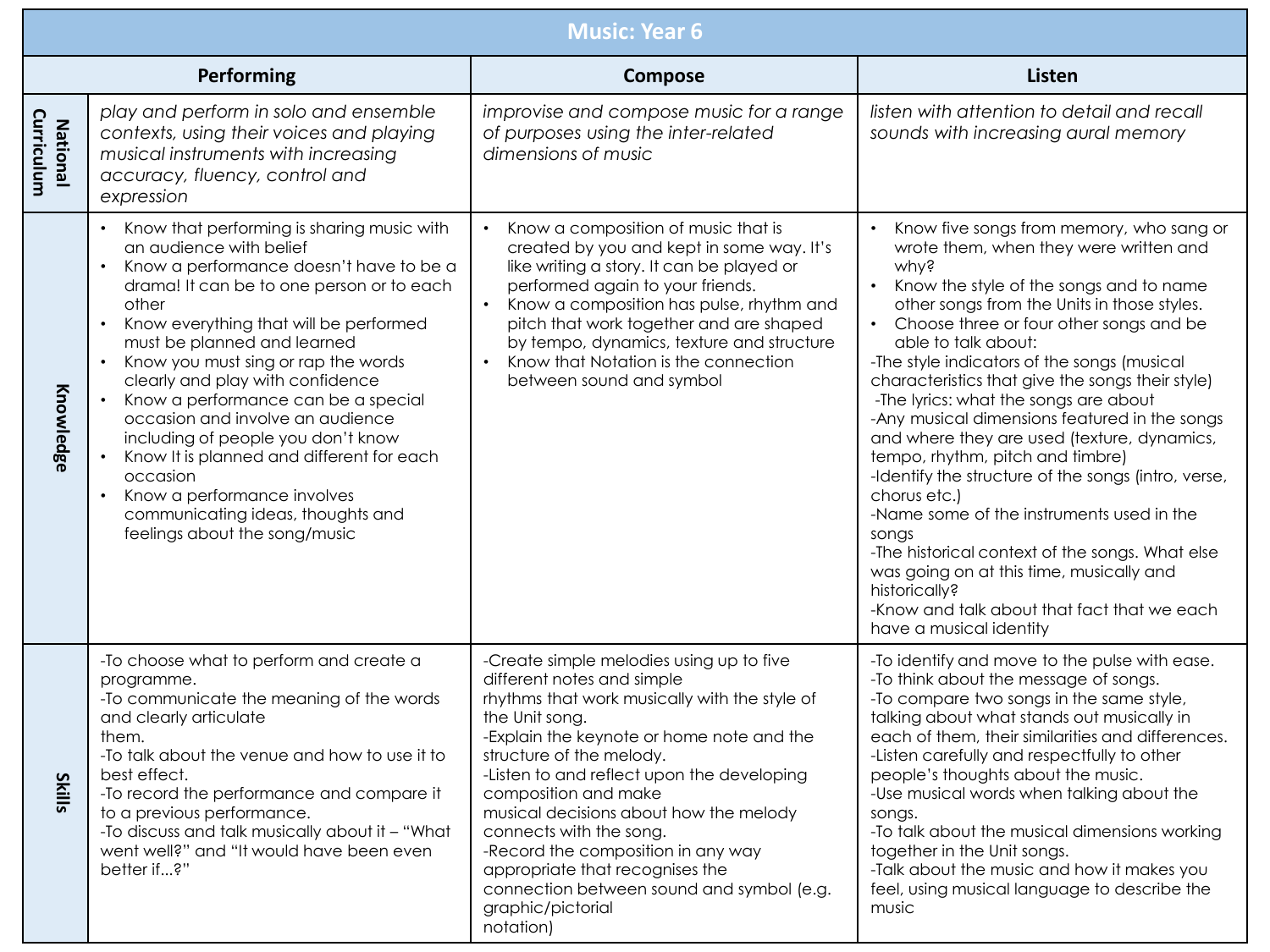|                               | <b>Music: Year 6</b>                                                                                                                                                                                                                                                                                                                                                                                                                                                                                                                                                                                                                             |                                                                                                                                                                                                                                                                                                                                                                                                                                                                                                                       |                                                                                                                                                                                                                                                                                                                                                                                                                                                                                                                                                                                                                                                                                                                                                                                                                                                                              |  |  |  |
|-------------------------------|--------------------------------------------------------------------------------------------------------------------------------------------------------------------------------------------------------------------------------------------------------------------------------------------------------------------------------------------------------------------------------------------------------------------------------------------------------------------------------------------------------------------------------------------------------------------------------------------------------------------------------------------------|-----------------------------------------------------------------------------------------------------------------------------------------------------------------------------------------------------------------------------------------------------------------------------------------------------------------------------------------------------------------------------------------------------------------------------------------------------------------------------------------------------------------------|------------------------------------------------------------------------------------------------------------------------------------------------------------------------------------------------------------------------------------------------------------------------------------------------------------------------------------------------------------------------------------------------------------------------------------------------------------------------------------------------------------------------------------------------------------------------------------------------------------------------------------------------------------------------------------------------------------------------------------------------------------------------------------------------------------------------------------------------------------------------------|--|--|--|
|                               | Performing                                                                                                                                                                                                                                                                                                                                                                                                                                                                                                                                                                                                                                       | Compose                                                                                                                                                                                                                                                                                                                                                                                                                                                                                                               | Listen                                                                                                                                                                                                                                                                                                                                                                                                                                                                                                                                                                                                                                                                                                                                                                                                                                                                       |  |  |  |
| Curriculum<br><b>National</b> | play and perform in solo and ensemble<br>contexts, using their voices and playing<br>musical instruments with increasing<br>accuracy, fluency, control and<br>expression                                                                                                                                                                                                                                                                                                                                                                                                                                                                         | improvise and compose music for a range<br>of purposes using the inter-related<br>dimensions of music                                                                                                                                                                                                                                                                                                                                                                                                                 | listen with attention to detail and recall<br>sounds with increasing aural memory                                                                                                                                                                                                                                                                                                                                                                                                                                                                                                                                                                                                                                                                                                                                                                                            |  |  |  |
| Knowledge                     | Know that performing is sharing music with<br>an audience with belief<br>Know a performance doesn't have to be a<br>$\bullet$<br>drama! It can be to one person or to each<br>other<br>Know everything that will be performed<br>$\bullet$<br>must be planned and learned<br>Know you must sing or rap the words<br>$\bullet$<br>clearly and play with confidence<br>Know a performance can be a special<br>occasion and involve an audience<br>including of people you don't know<br>Know It is planned and different for each<br>occasion<br>Know a performance involves<br>communicating ideas, thoughts and<br>feelings about the song/music | Know a composition of music that is<br>$\bullet$<br>created by you and kept in some way. It's<br>like writing a story. It can be played or<br>performed again to your friends.<br>Know a composition has pulse, rhythm and<br>$\bullet$<br>pitch that work together and are shaped<br>by tempo, dynamics, texture and structure<br>Know that Notation is the connection<br>$\bullet$<br>between sound and symbol                                                                                                      | Know five songs from memory, who sang or<br>wrote them, when they were written and<br>why?<br>Know the style of the songs and to name<br>$\bullet$<br>other songs from the Units in those styles.<br>• Choose three or four other songs and be<br>able to talk about:<br>-The style indicators of the songs (musical<br>characteristics that give the songs their style)<br>-The lyrics: what the songs are about<br>-Any musical dimensions featured in the songs<br>and where they are used (texture, dynamics,<br>tempo, rhythm, pitch and timbre)<br>-Identify the structure of the songs (intro, verse,<br>chorus etc.)<br>-Name some of the instruments used in the<br>songs<br>-The historical context of the songs. What else<br>was going on at this time, musically and<br>historically?<br>-Know and talk about that fact that we each<br>have a musical identity |  |  |  |
| <b>Skil</b><br>ᠳ              | -To choose what to perform and create a<br>programme.<br>-To communicate the meaning of the words<br>and clearly articulate<br>them.<br>-To talk about the venue and how to use it to<br>best effect.<br>-To record the performance and compare it<br>to a previous performance.<br>-To discuss and talk musically about it - "What<br>went well?" and "It would have been even<br>better if?"                                                                                                                                                                                                                                                   | -Create simple melodies using up to five<br>different notes and simple<br>rhythms that work musically with the style of<br>the Unit song.<br>-Explain the keynote or home note and the<br>structure of the melody.<br>-Listen to and reflect upon the developing<br>composition and make<br>musical decisions about how the melody<br>connects with the song.<br>-Record the composition in any way<br>appropriate that recognises the<br>connection between sound and symbol (e.g.<br>graphic/pictorial<br>notation) | -To identify and move to the pulse with ease.<br>-To think about the message of songs.<br>-To compare two songs in the same style,<br>talking about what stands out musically in<br>each of them, their similarities and differences.<br>-Listen carefully and respectfully to other<br>people's thoughts about the music.<br>-Use musical words when talking about the<br>songs.<br>-To talk about the musical dimensions working<br>together in the Unit songs.<br>-Talk about the music and how it makes you<br>feel, using musical language to describe the<br>music                                                                                                                                                                                                                                                                                                     |  |  |  |